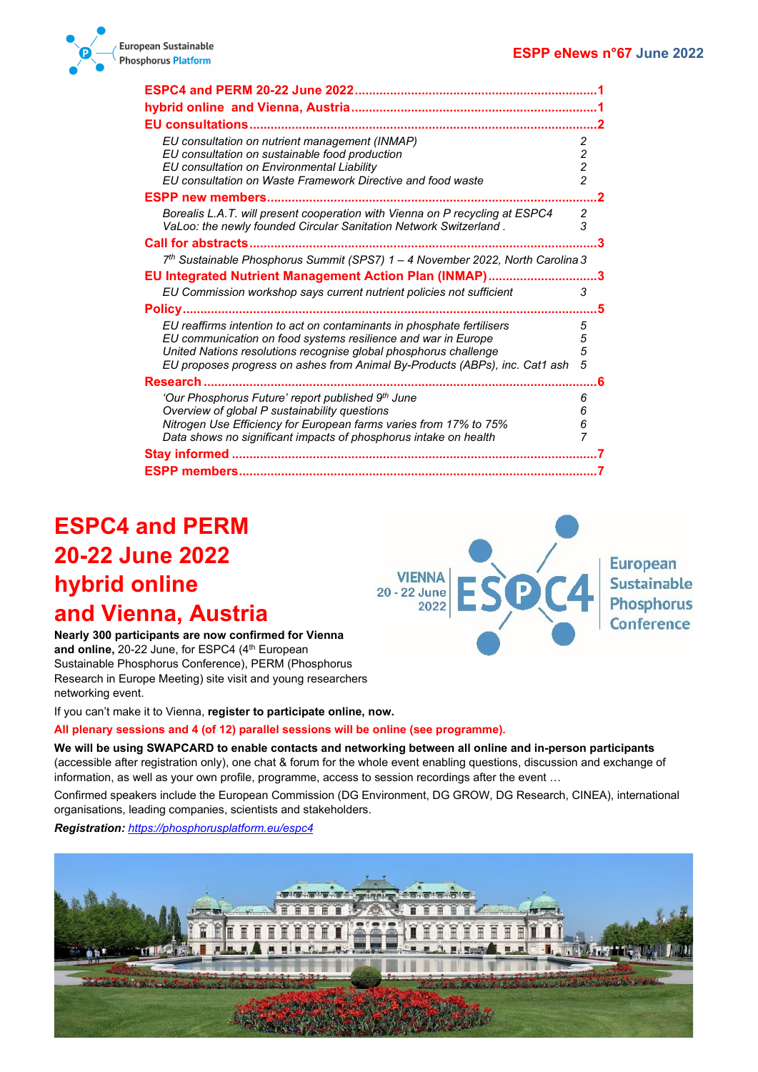**European** 

**Sustainable** 

**Phosphorus** 

Conference



| <b>ESPC4 and PERM 20-22 June 2022</b>                                                                                                                                                                                                                                                      |                               |
|--------------------------------------------------------------------------------------------------------------------------------------------------------------------------------------------------------------------------------------------------------------------------------------------|-------------------------------|
|                                                                                                                                                                                                                                                                                            |                               |
|                                                                                                                                                                                                                                                                                            |                               |
| EU consultation on nutrient management (INMAP)<br>EU consultation on sustainable food production<br>EU consultation on Environmental Liability<br>EU consultation on Waste Framework Directive and food waste                                                                              | 2<br>2<br>$\overline{c}$<br>2 |
| <b>ESPP new members</b>                                                                                                                                                                                                                                                                    |                               |
| Borealis L.A.T. will present cooperation with Vienna on P recycling at ESPC4<br>VaLoo: the newly founded Circular Sanitation Network Switzerland.                                                                                                                                          | 2<br>3                        |
|                                                                                                                                                                                                                                                                                            |                               |
| 7 <sup>th</sup> Sustainable Phosphorus Summit (SPS7) 1 - 4 November 2022, North Carolina 3                                                                                                                                                                                                 |                               |
| EU Integrated Nutrient Management Action Plan (INMAP)                                                                                                                                                                                                                                      |                               |
| EU Commission workshop says current nutrient policies not sufficient                                                                                                                                                                                                                       | 3                             |
| Policy                                                                                                                                                                                                                                                                                     |                               |
| EU reaffirms intention to act on contaminants in phosphate fertilisers<br>EU communication on food systems resilience and war in Europe<br>United Nations resolutions recognise global phosphorus challenge<br>EU proposes progress on ashes from Animal By-Products (ABPs), inc. Cat1 ash | 5<br>5<br>5<br>5              |
| Research                                                                                                                                                                                                                                                                                   |                               |
| 'Our Phosphorus Future' report published 9th June<br>Overview of global P sustainability questions<br>Nitrogen Use Efficiency for European farms varies from 17% to 75%<br>Data shows no significant impacts of phosphorus intake on health                                                | 6<br>6<br>6                   |
|                                                                                                                                                                                                                                                                                            |                               |
|                                                                                                                                                                                                                                                                                            |                               |

# <span id="page-0-0"></span>**ESPC4 and PERM 20-22 June 2022 hybrid online and Vienna, Austria**

<span id="page-0-1"></span>**Nearly 300 participants are now confirmed for Vienna**  and online, 20-22 June, for ESPC4 (4<sup>th</sup> European Sustainable Phosphorus Conference), PERM (Phosphorus Research in Europe Meeting) site visit and young researchers networking event.

If you can't make it to Vienna, **register to participate online, now.**

#### **All plenary sessions and 4 (of 12) parallel sessions will be online (see programme).**

**We will be using SWAPCARD to enable contacts and networking between all online and in-person participants**  (accessible after registration only), one chat & forum for the whole event enabling questions, discussion and exchange of information, as well as your own profile, programme, access to session recordings after the event …

**VIENNA** 

2022

20 - 22 June

D

Confirmed speakers include the European Commission (DG Environment, DG GROW, DG Research, CINEA), international organisations, leading companies, scientists and stakeholders.

*Registration: <https://phosphorusplatform.eu/espc4>*

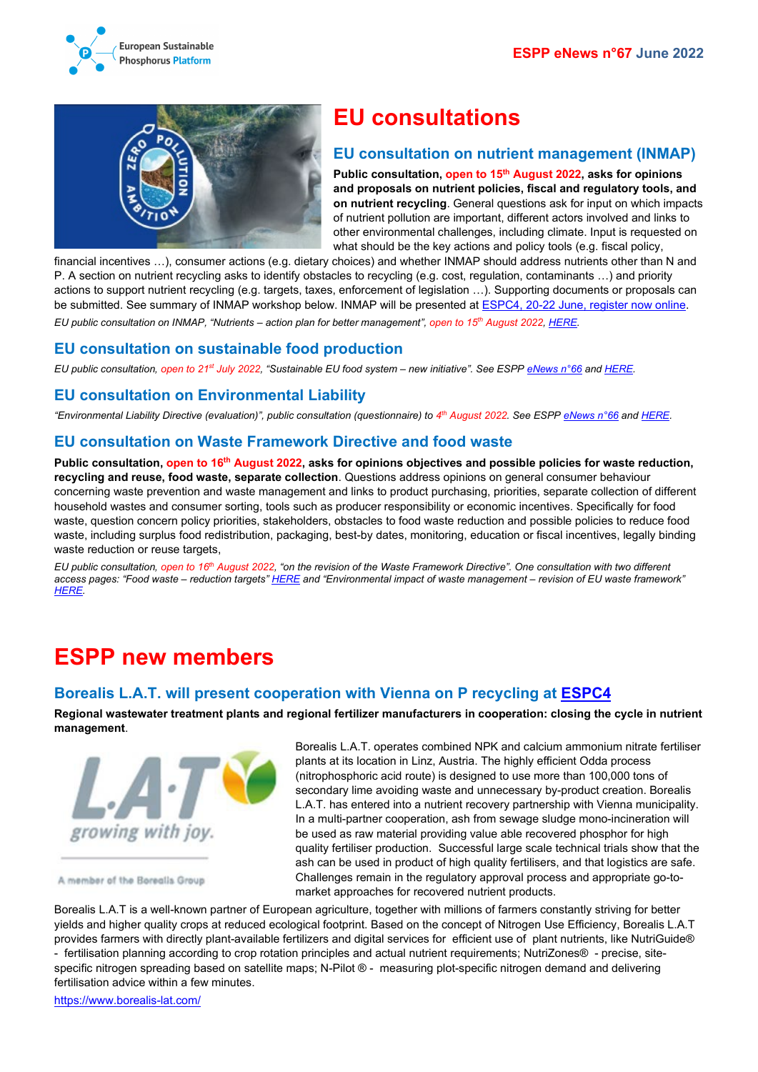



## <span id="page-1-0"></span>**EU consultations**

### <span id="page-1-1"></span>**EU consultation on nutrient management (INMAP)**

**Public consultation, open to 15th August 2022, asks for opinions and proposals on nutrient policies, fiscal and regulatory tools, and on nutrient recycling**. General questions ask for input on which impacts of nutrient pollution are important, different actors involved and links to other environmental challenges, including climate. Input is requested on what should be the key actions and policy tools (e.g. fiscal policy,

financial incentives ...), consumer actions (e.g. dietary choices) and whether INMAP should address nutrients other than N and P. A section on nutrient recycling asks to identify obstacles to recycling (e.g. cost, regulation, contaminants …) and priority actions to support nutrient recycling (e.g. targets, taxes, enforcement of legislation …). Supporting documents or proposals can be submitted. See summary of INMAP workshop below. INMAP will be presented a[t ESPC4, 20-22 June, register now online.](https://phosphorusplatform.eu/espc4) *EU public consultation on INMAP, "Nutrients – action plan for better management", open to 15th August 2022, [HERE.](https://ec.europa.eu/info/law/better-regulation/have-your-say/initiatives/12899-Nutrients-action-plan-for-better-management_en)*

## <span id="page-1-2"></span>**EU consultation on sustainable food production**

*EU public consultation, open to 21st July 2022, "Sustainable EU food system – new initiative". See ESPP [eNews n°66](http://www.phosphorusplatform.eu/eNews066) and [HERE.](https://ec.europa.eu/info/law/better-regulation/have-your-say/initiatives/13174-Sustainable-EU-food-system-new-initiative_en)*

## <span id="page-1-3"></span>**EU consultation on Environmental Liability**

*"Environmental Liability Directive (evaluation)", public consultation (questionnaire) to 4th August 2022. See ESP[P eNews n°66](http://www.phosphorusplatform.eu/eNews066) and [HERE.](https://ec.europa.eu/info/law/better-regulation/have-your-say/initiatives/13251-Directive-sur-la-responsabilite-environnementale-evaluation-/public-consultation_en)*

### <span id="page-1-4"></span>**EU consultation on Waste Framework Directive and food waste**

**Public consultation, open to 16th August 2022, asks for opinions objectives and possible policies for waste reduction, recycling and reuse, food waste, separate collection**. Questions address opinions on general consumer behaviour concerning waste prevention and waste management and links to product purchasing, priorities, separate collection of different household wastes and consumer sorting, tools such as producer responsibility or economic incentives. Specifically for food waste, question concern policy priorities, stakeholders, obstacles to food waste reduction and possible policies to reduce food waste, including surplus food redistribution, packaging, best-by dates, monitoring, education or fiscal incentives, legally binding waste reduction or reuse targets,

*EU public consultation, open to 16th August 2022, "on the revision of the Waste Framework Directive". One consultation with two different access pages: "Food waste – reduction targets[" HERE](https://ec.europa.eu/info/law/better-regulation/have-your-say/initiatives/13223-Food-waste-reduction-targets_en) and "Environmental impact of waste management – revision of EU waste framework" [HERE.](https://ec.europa.eu/info/law/better-regulation/have-your-say/initiatives/13225-Environmental-impact-of-waste-management-revision-of-EU-waste-framework_en)*

# <span id="page-1-5"></span>**ESPP new members**

### <span id="page-1-6"></span>**Borealis L.A.T. will present cooperation with Vienna on P recycling at [ESPC4](https://clicktime.symantec.com/3BcLf8mU32rjjsc7GBtRw1B6H4?u=https%3A%2F%2Fphosphorusplatform.eu%2Fespc4)**

**Regional wastewater treatment plants and regional fertilizer manufacturers in cooperation: closing the cycle in nutrient management**.



A member of the Borealis Group

Borealis L.A.T. operates combined NPK and calcium ammonium nitrate fertiliser plants at its location in Linz, Austria. The highly efficient Odda process (nitrophosphoric acid route) is designed to use more than 100,000 tons of secondary lime avoiding waste and unnecessary by-product creation. Borealis L.A.T. has entered into a nutrient recovery partnership with Vienna municipality. In a multi-partner cooperation, ash from sewage sludge mono-incineration will be used as raw material providing value able recovered phosphor for high quality fertiliser production. Successful large scale technical trials show that the ash can be used in product of high quality fertilisers, and that logistics are safe. Challenges remain in the regulatory approval process and appropriate go-tomarket approaches for recovered nutrient products.

Borealis L.A.T is a well-known partner of European agriculture, together with millions of farmers constantly striving for better yields and higher quality crops at reduced ecological footprint. Based on the concept of Nitrogen Use Efficiency, Borealis L.A.T provides farmers with directly plant-available fertilizers and digital services for efficient use of plant nutrients, like NutriGuide® - fertilisation planning according to crop rotation principles and actual nutrient requirements; NutriZones® - precise, sitespecific nitrogen spreading based on satellite maps; N-Pilot ® - measuring plot-specific nitrogen demand and delivering fertilisation advice within a few minutes.

<https://www.borealis-lat.com/>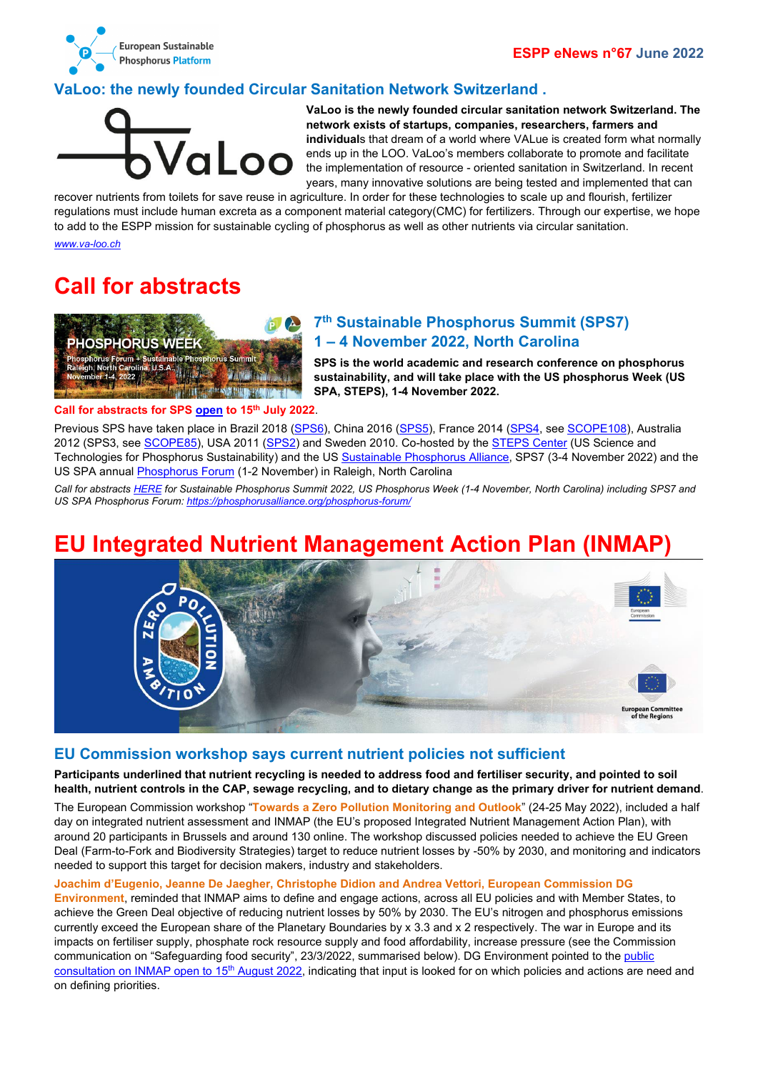

## <span id="page-2-0"></span>**VaLoo: the newly founded Circular Sanitation Network Switzerland .**



**VaLoo is the newly founded circular sanitation network Switzerland. The network exists of startups, companies, researchers, farmers and individual**s that dream of a world where VALue is created form what normally ends up in the LOO. VaLoo's members collaborate to promote and facilitate the implementation of resource - oriented sanitation in Switzerland. In recent years, many innovative solutions are being tested and implemented that can

recover nutrients from toilets for save reuse in agriculture. In order for these technologies to scale up and flourish, fertilizer regulations must include human excreta as a component material category(CMC) for fertilizers. Through our expertise, we hope to add to the ESPP mission for sustainable cycling of phosphorus as well as other nutrients via circular sanitation.

*[www.va-loo.ch](http://www.va-loo.ch/)*

# <span id="page-2-1"></span>**Call for abstracts**



## <span id="page-2-2"></span>**7th Sustainable Phosphorus Summit (SPS7) 1 – 4 November 2022, North Carolina**

**SPS is the world academic and research conference on phosphorus sustainability, and will take place with the US phosphorus Week (US SPA, STEPS), 1-4 November 2022.** 

#### **Call for abstracts for SP[S open](https://forms.gle/FY1Xj87suuo3to669) to 15th July 2022**.

Previous SPS have taken place in Brazil 2018 [\(SPS6\)](http://phosphorusfutures.net/announced-6th-sustainable-phosphorus-summit-brasilia-brazil-august-2018/), China 2016 [\(SPS5\)](http://phosphorusfutures.net/announced-5th-sustainable-phosphorus-summit-to-take-place-in-kunming-china-august-2016/), France 2014 [\(SPS4,](https://sps2014.cirad.fr/) see [SCOPE108\)](http://www.phosphorusplatform.eu/Scope108), Australia 2012 (SPS3, see [SCOPE85\)](http://www.phosphorusplatform.eu/Scope085), USA 2011 [\(SPS2\)](http://globalpnetwork.net/sites/default/files/Consensus%20Statement%20-%20Sustainable%20Phosphorus%20Summit.pdf) and Sweden 2010. Co-hosted by the [STEPS Center](https://steps-center.org/) (US Science and Technologies for Phosphorus Sustainability) and the US [Sustainable Phosphorus Alliance,](https://phosphorusalliance.org/) SPS7 (3-4 November 2022) and the US SPA annua[l Phosphorus Forum](https://phosphorusalliance.org/phosphorus-forum/) (1-2 November) in Raleigh, North Carolina

*Call for abstracts [HERE](https://forms.gle/FY1Xj87suuo3to669) for Sustainable Phosphorus Summit 2022, US Phosphorus Week (1-4 November, North Carolina) including SPS7 and US SPA Phosphorus Forum[: https://phosphorusalliance.org/phosphorus-forum/](https://phosphorusalliance.org/phosphorus-forum/)*

## <span id="page-2-3"></span>**EU Integrated Nutrient Management Action Plan (INMAP)**



### <span id="page-2-4"></span>**EU Commission workshop says current nutrient policies not sufficient**

**Participants underlined that nutrient recycling is needed to address food and fertiliser security, and pointed to soil health, nutrient controls in the CAP, sewage recycling, and to dietary change as the primary driver for nutrient demand**.

The European Commission workshop "**Towards a Zero Pollution Monitoring and Outlook**" (24-25 May 2022), included a half day on integrated nutrient assessment and INMAP (the EU's proposed Integrated Nutrient Management Action Plan), with around 20 participants in Brussels and around 130 online. The workshop discussed policies needed to achieve the EU Green Deal (Farm-to-Fork and Biodiversity Strategies) target to reduce nutrient losses by -50% by 2030, and monitoring and indicators needed to support this target for decision makers, industry and stakeholders.

#### **Joachim d'Eugenio, Jeanne De Jaegher, Christophe Didion and Andrea Vettori, European Commission DG**

**Environment**, reminded that INMAP aims to define and engage actions, across all EU policies and with Member States, to achieve the Green Deal objective of reducing nutrient losses by 50% by 2030. The EU's nitrogen and phosphorus emissions currently exceed the European share of the Planetary Boundaries by x 3.3 and x 2 respectively. The war in Europe and its impacts on fertiliser supply, phosphate rock resource supply and food affordability, increase pressure (see the Commission communication on "Safeguarding food security", 23/3/2022, summarised below). DG Environment pointed to the [public](https://ec.europa.eu/info/law/better-regulation/have-your-say/initiatives/12899-Nutrients-action-plan-for-better-management_en)  consultation on INMAP open to 15<sup>th</sup> August 2022, indicating that input is looked for on which policies and actions are need and on defining priorities.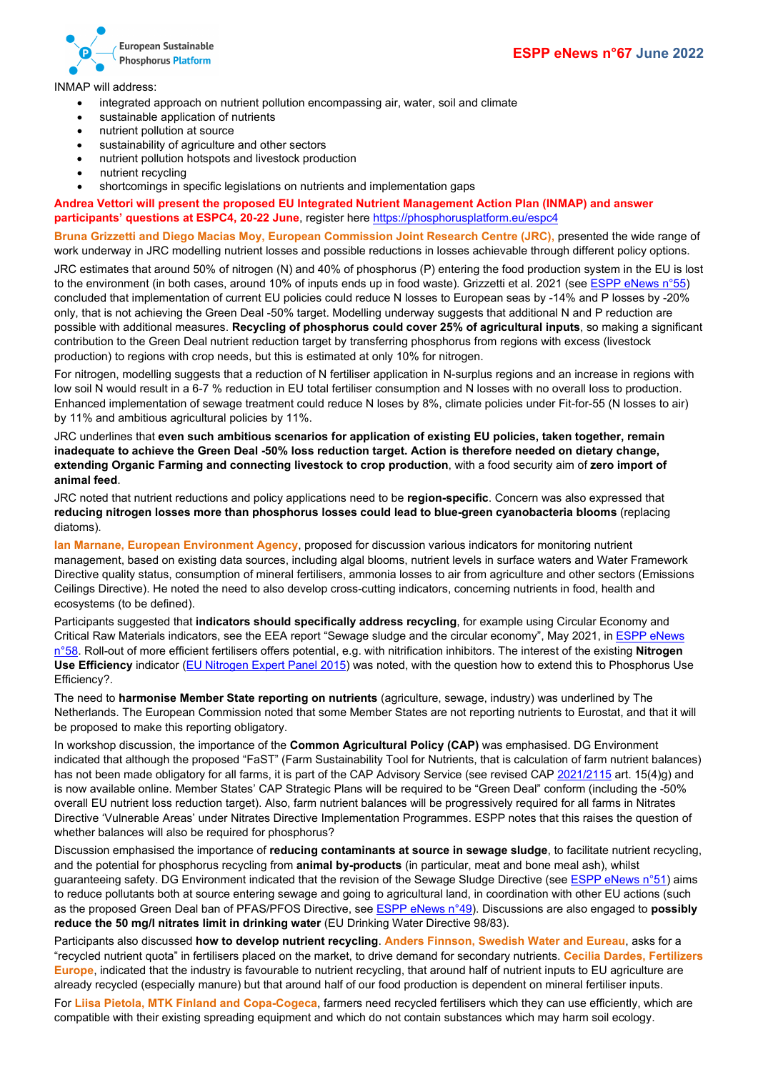

INMAP will address:

- integrated approach on nutrient pollution encompassing air, water, soil and climate
- sustainable application of nutrients
- nutrient pollution at source
- sustainability of agriculture and other sectors
- nutrient pollution hotspots and livestock production
- nutrient recycling
- shortcomings in specific legislations on nutrients and implementation gaps

**Andrea Vettori will present the proposed EU Integrated Nutrient Management Action Plan (INMAP) and answer participants' questions at ESPC4, 20-22 June**, register here <https://phosphorusplatform.eu/espc4>

**Bruna Grizzetti and Diego Macias Moy, European Commission Joint Research Centre (JRC),** presented the wide range of work underway in JRC modelling nutrient losses and possible reductions in losses achievable through different policy options.

JRC estimates that around 50% of nitrogen (N) and 40% of phosphorus (P) entering the food production system in the EU is lost to the environment (in both cases, around 10% of inputs ends up in food waste). Grizzetti et al. 2021 (see [ESPP eNews n°55\)](http://www.phosphorusplatform.eu/eNews055) concluded that implementation of current EU policies could reduce N losses to European seas by -14% and P losses by -20% only, that is not achieving the Green Deal -50% target. Modelling underway suggests that additional N and P reduction are possible with additional measures. **Recycling of phosphorus could cover 25% of agricultural inputs**, so making a significant contribution to the Green Deal nutrient reduction target by transferring phosphorus from regions with excess (livestock production) to regions with crop needs, but this is estimated at only 10% for nitrogen.

For nitrogen, modelling suggests that a reduction of N fertiliser application in N-surplus regions and an increase in regions with low soil N would result in a 6-7 % reduction in EU total fertiliser consumption and N losses with no overall loss to production. Enhanced implementation of sewage treatment could reduce N loses by 8%, climate policies under Fit-for-55 (N losses to air) by 11% and ambitious agricultural policies by 11%.

JRC underlines that **even such ambitious scenarios for application of existing EU policies, taken together, remain inadequate to achieve the Green Deal -50% loss reduction target. Action is therefore needed on dietary change, extending Organic Farming and connecting livestock to crop production**, with a food security aim of **zero import of animal feed**.

JRC noted that nutrient reductions and policy applications need to be **region-specific**. Concern was also expressed that **reducing nitrogen losses more than phosphorus losses could lead to blue-green cyanobacteria blooms** (replacing diatoms).

**Ian Marnane, European Environment Agency**, proposed for discussion various indicators for monitoring nutrient management, based on existing data sources, including algal blooms, nutrient levels in surface waters and Water Framework Directive quality status, consumption of mineral fertilisers, ammonia losses to air from agriculture and other sectors (Emissions Ceilings Directive). He noted the need to also develop cross-cutting indicators, concerning nutrients in food, health and ecosystems (to be defined).

Participants suggested that **indicators should specifically address recycling**, for example using Circular Economy and Critical Raw Materials indicators, see the EEA report "Sewage sludge and the circular economy", May 2021, in [ESPP eNews](http://www.phosphorusplatform.eu/eNews058)  [n°58.](http://www.phosphorusplatform.eu/eNews058) Roll-out of more efficient fertilisers offers potential, e.g. with nitrification inhibitors. The interest of the existing **Nitrogen Use Efficiency** indicator [\(EU Nitrogen Expert Panel 2015\)](http://www.eunep.com/wp-content/uploads/2017/03/Report-NUE-Indicator-Nitrogen-Expert-Panel-18-12-2015.pdf) was noted, with the question how to extend this to Phosphorus Use Efficiency?.

The need to **harmonise Member State reporting on nutrients** (agriculture, sewage, industry) was underlined by The Netherlands. The European Commission noted that some Member States are not reporting nutrients to Eurostat, and that it will be proposed to make this reporting obligatory.

In workshop discussion, the importance of the **Common Agricultural Policy (CAP)** was emphasised. DG Environment indicated that although the proposed "FaST" (Farm Sustainability Tool for Nutrients, that is calculation of farm nutrient balances) has not been made obligatory for all farms, it is part of the CAP Advisory Service (see revised CA[P 2021/2115](https://eur-lex.europa.eu/legal-content/EN/TXT/?uri=OJ:L:2021:435:TOC) art. 15(4)g) and is now available online. Member States' CAP Strategic Plans will be required to be "Green Deal" conform (including the -50% overall EU nutrient loss reduction target). Also, farm nutrient balances will be progressively required for all farms in Nitrates Directive 'Vulnerable Areas' under Nitrates Directive Implementation Programmes. ESPP notes that this raises the question of whether balances will also be required for phosphorus?

Discussion emphasised the importance of **reducing contaminants at source in sewage sludge**, to facilitate nutrient recycling, and the potential for phosphorus recycling from **animal by-products** (in particular, meat and bone meal ash), whilst guaranteeing safety. DG Environment indicated that the revision of the Sewage Sludge Directive (se[e ESPP eNews n°51\)](http://www.phosphorusplatform.eu/eNews051) aims to reduce pollutants both at source entering sewage and going to agricultural land, in coordination with other EU actions (such as the proposed Green Deal ban of PFAS/PFOS Directive, se[e ESPP eNews n°49\)](http://www.phosphorusplatform.eu/eNews049). Discussions are also engaged to **possibly reduce the 50 mg/l nitrates limit in drinking water** (EU Drinking Water Directive 98/83).

Participants also discussed **how to develop nutrient recycling**. **Anders Finnson, Swedish Water and Eureau**, asks for a "recycled nutrient quota" in fertilisers placed on the market, to drive demand for secondary nutrients. **Cecilia Dardes, Fertilizers Europe**, indicated that the industry is favourable to nutrient recycling, that around half of nutrient inputs to EU agriculture are already recycled (especially manure) but that around half of our food production is dependent on mineral fertiliser inputs.

For **Liisa Pietola, MTK Finland and Copa-Cogeca**, farmers need recycled fertilisers which they can use efficiently, which are compatible with their existing spreading equipment and which do not contain substances which may harm soil ecology.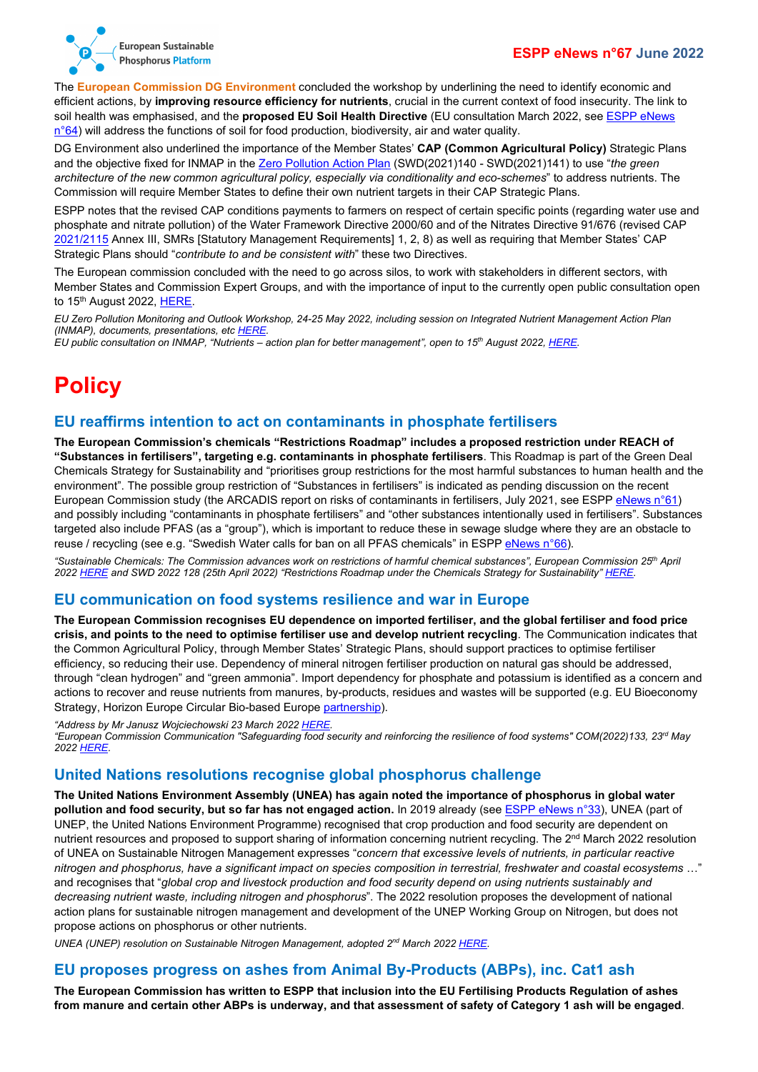

The **European Commission DG Environment** concluded the workshop by underlining the need to identify economic and efficient actions, by **improving resource efficiency for nutrients**, crucial in the current context of food insecurity. The link to soil health was emphasised, and the **proposed EU Soil Health Directive** (EU consultation March 2022, see [ESPP eNews](http://www.phosphorusplatform.eu/eNews064)   $n°64$ ) will address the functions of soil for food production, biodiversity, air and water quality.

DG Environment also underlined the importance of the Member States' **CAP (Common Agricultural Policy)** Strategic Plans and the objective fixed for INMAP in the [Zero Pollution Action Plan](https://ec.europa.eu/environment/strategy/zero-pollution-action-plan_en) (SWD(2021)140 - SWD(2021)141) to use "*the green architecture of the new common agricultural policy, especially via conditionality and eco-schemes*" to address nutrients. The Commission will require Member States to define their own nutrient targets in their CAP Strategic Plans.

ESPP notes that the revised CAP conditions payments to farmers on respect of certain specific points (regarding water use and phosphate and nitrate pollution) of the Water Framework Directive 2000/60 and of the Nitrates Directive 91/676 (revised CAP [2021/2115](https://eur-lex.europa.eu/legal-content/EN/TXT/?uri=OJ:L:2021:435:TOC) Annex III, SMRs [Statutory Management Requirements] 1, 2, 8) as well as requiring that Member States' CAP Strategic Plans should "*contribute to and be consistent with*" these two Directives.

The European commission concluded with the need to go across silos, to work with stakeholders in different sectors, with Member States and Commission Expert Groups, and with the importance of input to the currently open public consultation open to 15<sup>th</sup> August 2022[, HERE.](https://ec.europa.eu/info/law/better-regulation/have-your-say/initiatives/12899-Nutrients-action-plan-for-better-management_en)

*EU Zero Pollution Monitoring and Outlook Workshop, 24-25 May 2022, including session on Integrated Nutrient Management Action Plan (INMAP), documents, presentations, etc [HERE.](https://ec.europa.eu/environment/news/zero-pollution-monitoring-and-outlook-workshop-2022-05-25_en)*

*EU public consultation on INMAP, "Nutrients – action plan for better management", open to 15th August 2022, [HERE.](https://ec.europa.eu/info/law/better-regulation/have-your-say/initiatives/12899-Nutrients-action-plan-for-better-management_en)*

# <span id="page-4-0"></span>**Policy**

## <span id="page-4-1"></span>**EU reaffirms intention to act on contaminants in phosphate fertilisers**

**The European Commission's chemicals "Restrictions Roadmap" includes a proposed restriction under REACH of "Substances in fertilisers", targeting e.g. contaminants in phosphate fertilisers**. This Roadmap is part of the Green Deal Chemicals Strategy for Sustainability and "prioritises group restrictions for the most harmful substances to human health and the environment". The possible group restriction of "Substances in fertilisers" is indicated as pending discussion on the recent European Commission study (the ARCADIS report on risks of contaminants in fertilisers, July 2021, see ESP[P eNews n°61\)](http://www.phosphorusplatform.eu/eNews061) and possibly including "contaminants in phosphate fertilisers" and "other substances intentionally used in fertilisers". Substances targeted also include PFAS (as a "group"), which is important to reduce these in sewage sludge where they are an obstacle to reuse / recycling (see e.g. "Swedish Water calls for ban on all PFAS chemicals" in ESP[P eNews n°66\)](http://www.phosphorusplatform.eu/eNews066).

*"Sustainable Chemicals: The Commission advances work on restrictions of harmful chemical substances", European Commission 25th April 202[2 HERE](https://ec.europa.eu/growth/news/sustainable-chemicals-commission-advances-work-restrictions-harmful-chemical-substances-2022-04-25_en) and SWD 2022 128 (25th April 2022) "Restrictions Roadmap under the Chemicals Strategy for Sustainability[" HERE.](https://ec.europa.eu/growth/news/sustainable-chemicals-commission-advances-work-restrictions-harmful-chemical-substances-2022-04-25)*

### <span id="page-4-2"></span>**EU communication on food systems resilience and war in Europe**

**The European Commission recognises EU dependence on imported fertiliser, and the global fertiliser and food price crisis, and points to the need to optimise fertiliser use and develop nutrient recycling**. The Communication indicates that the Common Agricultural Policy, through Member States' Strategic Plans, should support practices to optimise fertiliser efficiency, so reducing their use. Dependency of mineral nitrogen fertiliser production on natural gas should be addressed, through "clean hydrogen" and "green ammonia". Import dependency for phosphate and potassium is identified as a concern and actions to recover and reuse nutrients from manures, by-products, residues and wastes will be supported (e.g. EU Bioeconomy Strategy, Horizon Europe Circular Bio-based Europe [partnership\)](https://biconsortium.eu/).

*"Address by Mr Janusz Wojciechowski 23 March 2022 [HERE.](https://ec.europa.eu/commission/presscorner/detail/en/SPEECH_22_1991) "European Commission Communication "Safeguarding food security and reinforcing the resilience of food systems" COM(2022)133, 23rd May 202[2 HERE.](https://eur-lex.europa.eu/legal-content/EN/TXT/?uri=CELEX:52022DC0133)*

## <span id="page-4-3"></span>**United Nations resolutions recognise global phosphorus challenge**

**The United Nations Environment Assembly (UNEA) has again noted the importance of phosphorus in global water pollution and food security, but so far has not engaged action.** In 2019 already (see **ESPP eNews n°33**), UNEA (part of UNEP, the United Nations Environment Programme) recognised that crop production and food security are dependent on nutrient resources and proposed to support sharing of information concerning nutrient recycling. The 2<sup>nd</sup> March 2022 resolution of UNEA on Sustainable Nitrogen Management expresses "*concern that excessive levels of nutrients, in particular reactive nitrogen and phosphorus, have a significant impact on species composition in terrestrial, freshwater and coastal ecosystems* …" and recognises that "*global crop and livestock production and food security depend on using nutrients sustainably and decreasing nutrient waste, including nitrogen and phosphorus*". The 2022 resolution proposes the development of national action plans for sustainable nitrogen management and development of the UNEP Working Group on Nitrogen, but does not propose actions on phosphorus or other nutrients.

*UNEA (UNEP) resolution on Sustainable Nitrogen Management, adopted 2nd March 202[2 HERE.](https://wedocs.unep.org/bitstream/handle/20.500.11822/39816/SUSTAINABLE%20NITROGEN%20MANAGEMENT.%20English.pdf)*

### <span id="page-4-4"></span>**EU proposes progress on ashes from Animal By-Products (ABPs), inc. Cat1 ash**

**The European Commission has written to ESPP that inclusion into the EU Fertilising Products Regulation of ashes from manure and certain other ABPs is underway, and that assessment of safety of Category 1 ash will be engaged**.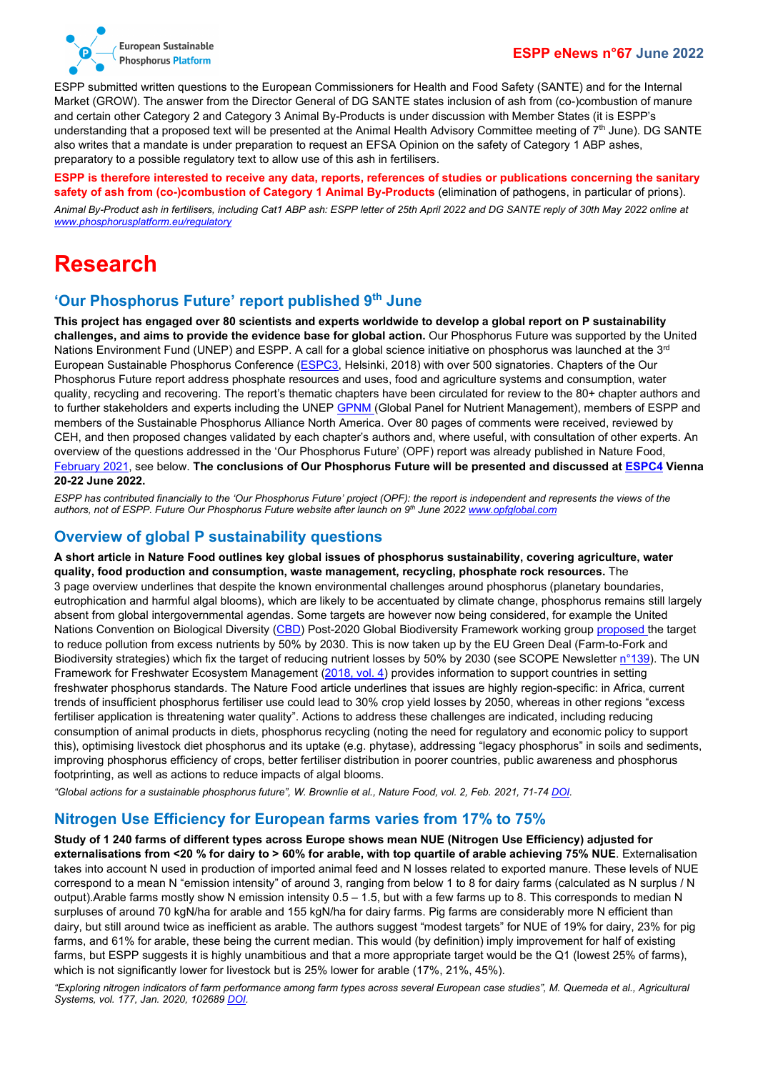

ESPP submitted written questions to the European Commissioners for Health and Food Safety (SANTE) and for the Internal Market (GROW). The answer from the Director General of DG SANTE states inclusion of ash from (co-)combustion of manure and certain other Category 2 and Category 3 Animal By-Products is under discussion with Member States (it is ESPP's understanding that a proposed text will be presented at the Animal Health Advisory Committee meeting of 7<sup>th</sup> June). DG SANTE also writes that a mandate is under preparation to request an EFSA Opinion on the safety of Category 1 ABP ashes, preparatory to a possible regulatory text to allow use of this ash in fertilisers.

### **ESPP is therefore interested to receive any data, reports, references of studies or publications concerning the sanitary safety of ash from (co-)combustion of Category 1 Animal By-Products** (elimination of pathogens, in particular of prions).

*Animal By-Product ash in fertilisers, including Cat1 ABP ash: ESPP letter of 25th April 2022 and DG SANTE reply of 30th May 2022 online at [www.phosphorusplatform.eu/regulatory](http://www.phosphorusplatform.eu/regulatory)*

# <span id="page-5-0"></span>**Research**

## <span id="page-5-1"></span>**'Our Phosphorus Future' report published 9th June**

**This project has engaged over 80 scientists and experts worldwide to develop a global report on P sustainability challenges, and aims to provide the evidence base for global action.** Our Phosphorus Future was supported by the United Nations Environment Fund (UNEP) and ESPP. A call for a global science initiative on phosphorus was launched at the  $3^{rd}$ European Sustainable Phosphorus Conference [\(ESPC3,](http://www.phosphorusplatform.eu/ESPC4) Helsinki, 2018) with over 500 signatories. Chapters of the Our Phosphorus Future report address phosphate resources and uses, food and agriculture systems and consumption, water quality, recycling and recovering. The report's thematic chapters have been circulated for review to the 80+ chapter authors and to further stakeholders and experts including the UNE[P GPNM \(](https://www.unep.org/explore-topics/oceans-seas/what-we-do/addressing-land-based-pollution/global-partnership-nutrient)Global Panel for Nutrient Management), members of ESPP and members of the Sustainable Phosphorus Alliance North America. Over 80 pages of comments were received, reviewed by CEH, and then proposed changes validated by each chapter's authors and, where useful, with consultation of other experts. An overview of the questions addressed in the 'Our Phosphorus Future' (OPF) report was already published in Nature Food, [February 2021,](https://doi.org/10.1038/s43016-021-00232-w) see below. **The conclusions of Our Phosphorus Future will be presented and discussed at [ESPC4](http://www.phosphorusplatform.eu/ESPC4) Vienna 20-22 June 2022.**

*ESPP has contributed financially to the 'Our Phosphorus Future' project (OPF): the report is independent and represents the views of the authors, not of ESPP. Future Our Phosphorus Future website after launch on 9th June 2022 [www.opfglobal.com](https://www.opfglobal.com/)*

#### <span id="page-5-2"></span>**Overview of global P sustainability questions**

**A short article in Nature Food outlines key global issues of phosphorus sustainability, covering agriculture, water quality, food production and consumption, waste management, recycling, phosphate rock resources.** The 3 page overview underlines that despite the known environmental challenges around phosphorus (planetary boundaries, eutrophication and harmful algal blooms), which are likely to be accentuated by climate change, phosphorus remains still largely absent from global intergovernmental agendas. Some targets are however now being considered, for example the United Nations Convention on Biological Diversity [\(CBD\)](https://www.cbd.int/) Post-2020 Global Biodiversity Framework working grou[p proposed t](https://www.cbd.int/meetings/WG2020-02)he target to reduce pollution from excess nutrients by 50% by 2030. This is now taken up by the EU Green Deal (Farm-to-Fork and Biodiversity strategies) which fix the target of reducing nutrient losses by 50% by 2030 (see SCOPE Newsletter [n°139\)](http://www.phosphorusplatform.eu/Scope139). The UN Framework for Freshwater Ecosystem Management [\(2018, vol. 4\)](https://www.unep.org/resources/publication/framework-freshwater-ecosystem-management) provides information to support countries in setting freshwater phosphorus standards. The Nature Food article underlines that issues are highly region-specific: in Africa, current trends of insufficient phosphorus fertiliser use could lead to 30% crop yield losses by 2050, whereas in other regions "excess fertiliser application is threatening water quality". Actions to address these challenges are indicated, including reducing consumption of animal products in diets, phosphorus recycling (noting the need for regulatory and economic policy to support this), optimising livestock diet phosphorus and its uptake (e.g. phytase), addressing "legacy phosphorus" in soils and sediments, improving phosphorus efficiency of crops, better fertiliser distribution in poorer countries, public awareness and phosphorus footprinting, as well as actions to reduce impacts of algal blooms.

*"Global actions for a sustainable phosphorus future", W. Brownlie et al., Nature Food, vol. 2, Feb. 2021, 71-74 [DOI.](https://doi.org/10.1038/s43016-021-00232-w)*

### <span id="page-5-3"></span>**Nitrogen Use Efficiency for European farms varies from 17% to 75%**

**Study of 1 240 farms of different types across Europe shows mean NUE (Nitrogen Use Efficiency) adjusted for externalisations from <20 % for dairy to > 60% for arable, with top quartile of arable achieving 75% NUE**. Externalisation takes into account N used in production of imported animal feed and N losses related to exported manure. These levels of NUE correspond to a mean N "emission intensity" of around 3, ranging from below 1 to 8 for dairy farms (calculated as N surplus / N output).Arable farms mostly show N emission intensity 0.5 – 1.5, but with a few farms up to 8. This corresponds to median N surpluses of around 70 kgN/ha for arable and 155 kgN/ha for dairy farms. Pig farms are considerably more N efficient than dairy, but still around twice as inefficient as arable. The authors suggest "modest targets" for NUE of 19% for dairy, 23% for pig farms, and 61% for arable, these being the current median. This would (by definition) imply improvement for half of existing farms, but ESPP suggests it is highly unambitious and that a more appropriate target would be the Q1 (lowest 25% of farms). which is not significantly lower for livestock but is 25% lower for arable (17%, 21%, 45%).

*"Exploring nitrogen indicators of farm performance among farm types across several European case studies", M. Quemeda et al., Agricultural Systems, vol. 177, Jan. 2020, 10268[9 DOI.](https://doi.org/10.1016/j.agsy.2019.102689)*